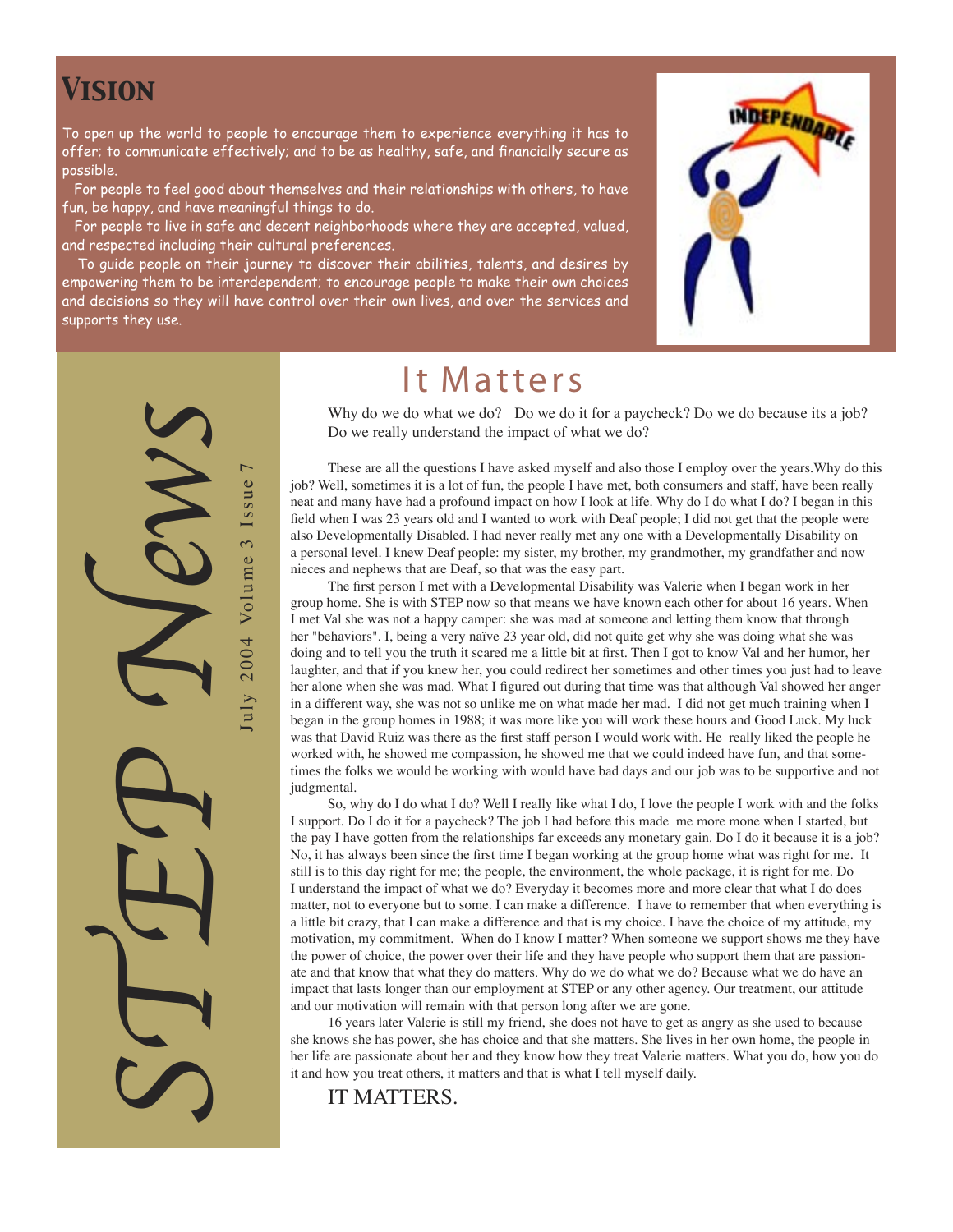### *Vision*

To open up the world to people to encourage them to experience everything it has to offer; to communicate effectively; and to be as healthy, safe, and financially secure as possible.

 For people to feel good about themselves and their relationships with others, to have fun, be happy, and have meaningful things to do.

 For people to live in safe and decent neighborhoods where they are accepted, valued, and respected including their cultural preferences.

 To guide people on their journey to discover their abilities, talents, and desires by empowering them to be interdependent; to encourage people to make their own choices and decisions so they will have control over their own lives, and over the services and supports they use.





### It Matters

Why do we do what we do? Do we do it for a paycheck? Do we do because its a job? Do we really understand the impact of what we do?

These are all the questions I have asked myself and also those I employ over the years.Why do this job? Well, sometimes it is a lot of fun, the people I have met, both consumers and staff, have been really neat and many have had a profound impact on how I look at life. Why do I do what I do? I began in this field when I was 23 years old and I wanted to work with Deaf people; I did not get that the people were also Developmentally Disabled. I had never really met any one with a Developmentally Disability on a personal level. I knew Deaf people: my sister, my brother, my grandmother, my grandfather and now nieces and nephews that are Deaf, so that was the easy part.

The first person I met with a Developmental Disability was Valerie when I began work in her group home. She is with STEP now so that means we have known each other for about 16 years. When I met Val she was not a happy camper: she was mad at someone and letting them know that through her "behaviors". I, being a very naïve 23 year old, did not quite get why she was doing what she was doing and to tell you the truth it scared me a little bit at first. Then I got to know Val and her humor, her laughter, and that if you knew her, you could redirect her sometimes and other times you just had to leave her alone when she was mad. What I figured out during that time was that although Val showed her anger in a different way, she was not so unlike me on what made her mad. I did not get much training when I began in the group homes in 1988; it was more like you will work these hours and Good Luck. My luck was that David Ruiz was there as the first staff person I would work with. He really liked the people he worked with, he showed me compassion, he showed me that we could indeed have fun, and that sometimes the folks we would be working with would have bad days and our job was to be supportive and not judgmental.

So, why do I do what I do? Well I really like what I do, I love the people I work with and the folks I support. Do I do it for a paycheck? The job I had before this made me more mone when I started, but the pay I have gotten from the relationships far exceeds any monetary gain. Do I do it because it is a job? No, it has always been since the first time I began working at the group home what was right for me. It still is to this day right for me; the people, the environment, the whole package, it is right for me. Do I understand the impact of what we do? Everyday it becomes more and more clear that what I do does matter, not to everyone but to some. I can make a difference. I have to remember that when everything is a little bit crazy, that I can make a difference and that is my choice. I have the choice of my attitude, my motivation, my commitment. When do I know I matter? When someone we support shows me they have the power of choice, the power over their life and they have people who support them that are passionate and that know that what they do matters. Why do we do what we do? Because what we do have an impact that lasts longer than our employment at STEP or any other agency. Our treatment, our attitude and our motivation will remain with that person long after we are gone.

16 years later Valerie is still my friend, she does not have to get as angry as she used to because she knows she has power, she has choice and that she matters. She lives in her own home, the people in her life are passionate about her and they know how they treat Valerie matters. What you do, how you do it and how you treat others, it matters and that is what I tell myself daily.

IT MATTERS.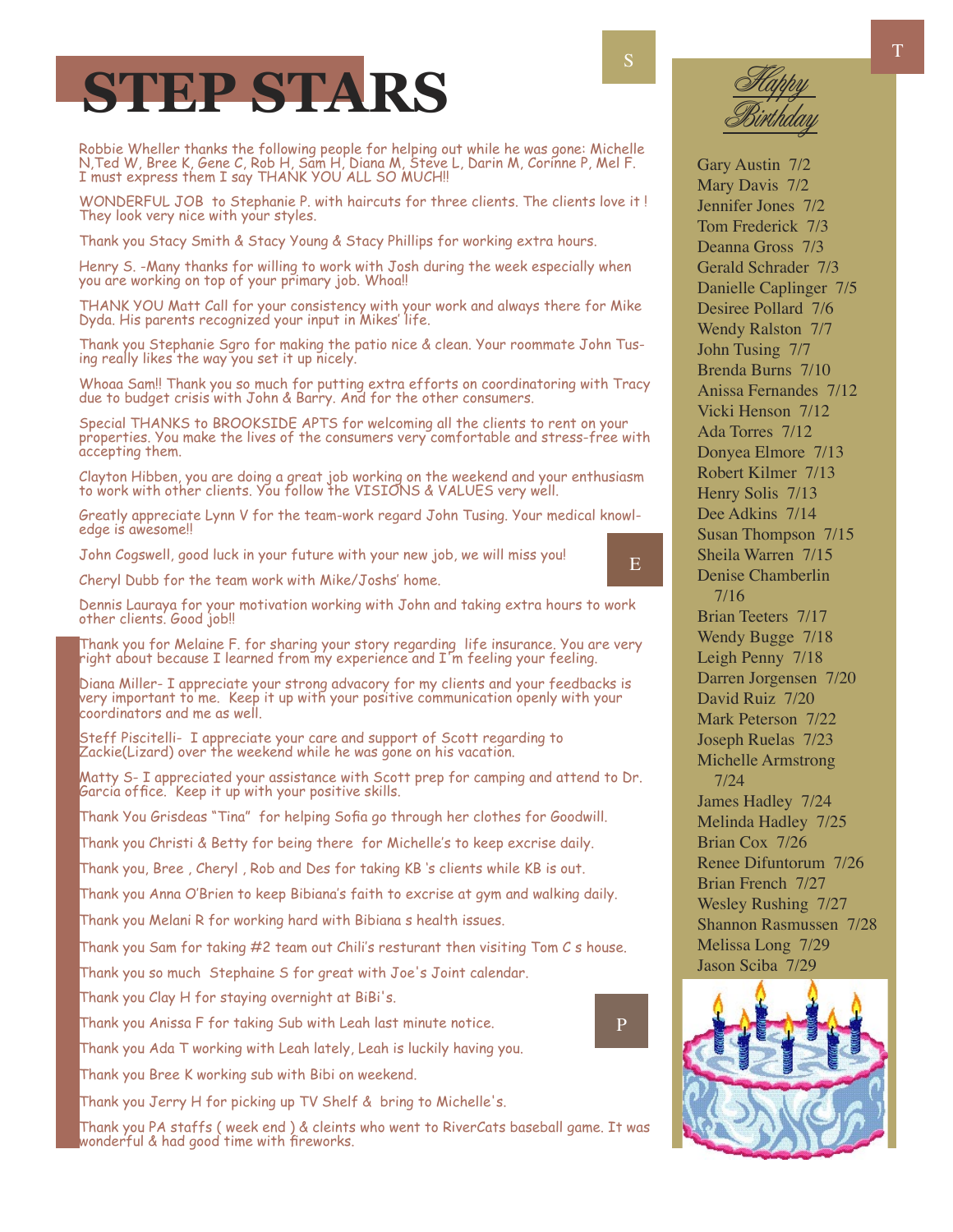# **STEP STARS**

Robbie Wheller thanks the following people for helping out while he was gone: Michelle N,Ted W, Bree K, Gene C, Rob H, Sam H, Diana M, Steve L, Darin M, Corinne P, Mel F. I must express them I say THANK YOU ALL SO MUCH!!

WONDERFUL JOB to Stephanie P. with haircuts for three clients. The clients love it ! They look very nice with your styles.

Thank you Stacy Smith & Stacy Young & Stacy Phillips for working extra hours.

Henry S. -Many thanks for willing to work with Josh during the week especially when you are working on top of your primary job. Whoa!!

THANK YOU Matt Call for your consistency with your work and always there for Mike Dyda. His parents recognized your input in Mikes' life.

Thank you Stephanie Sgro for making the patio nice & clean. Your roommate John Tusing really likes the way you set it up nicely.

Whoaa Sam!! Thank you so much for putting extra efforts on coordinatoring with Tracy due to budget crisis with John & Barry. And for the other consumers.

Special THANKS to BROOKSIDE APTS for welcoming all the clients to rent on your properties. You make the lives of the consumers very comfortable and stress-free with accepting them.

Clayton Hibben, you are doing a great job working on the weekend and your enthusiasm to work with other clients. You follow the VISIONS & VALUES very well.

Greatly appreciate Lynn V for the team-work regard John Tusing. Your medical knowledge is awesome!!

John Cogswell, good luck in your future with your new job, we will miss you!

Cheryl Dubb for the team work with Mike/Joshs' home.



Thank you for Melaine F. for sharing your story regarding life insurance. You are very right about because I learned from my experience and I'm feeling your feeling.

Diana Miller- I appreciate your strong advacory for my clients and your feedbacks is very important to me. Keep it up with your positive communication openly with your coordinators and me as well.

Steff Piscitelli- I appreciate your care and support of Scott regarding to Zackie(Lizard) over the weekend while he was gone on his vacation.

Matty S- I appreciated your assistance with Scott prep for camping and attend to Dr. Garcia office. Keep it up with your positive skills.

Thank You Grisdeas "Tina" for helping Sofia go through her clothes for Goodwill.

Thank you Christi & Betty for being there for Michelle's to keep excrise daily.

Thank you, Bree , Cheryl , Rob and Des for taking KB 's clients while KB is out.

Thank you Anna O'Brien to keep Bibiana's faith to excrise at gym and walking daily.

Thank you Melani R for working hard with Bibiana s health issues.

Thank you Sam for taking  $#2$  team out Chili's resturant then visiting Tom  $C$  s house.

Thank you so much Stephaine S for great with Joe's Joint calendar.

Thank you Clay H for staying overnight at BiBi's.

Thank you Anissa F for taking Sub with Leah last minute notice.

Thank you Ada T working with Leah lately, Leah is luckily having you.

Thank you Bree K working sub with Bibi on weekend.

Thank you Jerry H for picking up TV Shelf & bring to Michelle's.

Thank you PA staffs ( week end ) & cleints who went to RiverCats baseball game. It was wonderful & had good time with fireworks.

E

P



Gary Austin 7/2 Mary Davis 7/2

Jennifer Jones 7/2 Tom Frederick 7/3 Deanna Gross 7/3 Gerald Schrader 7/3 Danielle Caplinger 7/5 Desiree Pollard 7/6 Wendy Ralston 7/7 John Tusing 7/7 Brenda Burns 7/10 Anissa Fernandes 7/12 Vicki Henson 7/12 Ada Torres 7/12 Donyea Elmore 7/13 Robert Kilmer 7/13 Henry Solis 7/13 Dee Adkins 7/14 Susan Thompson 7/15 Sheila Warren 7/15 Denise Chamberlin 7/16 Brian Teeters 7/17 Wendy Bugge 7/18 Leigh Penny 7/18 Darren Jorgensen 7/20 David Ruiz 7/20 Mark Peterson 7/22 Joseph Ruelas 7/23 Michelle Armstrong 7/24 James Hadley 7/24 Melinda Hadley 7/25 Brian Cox 7/26 Renee Difuntorum 7/26 Brian French 7/27 Wesley Rushing 7/27 Shannon Rasmussen 7/28 Melissa Long 7/29 Jason Sciba 7/29

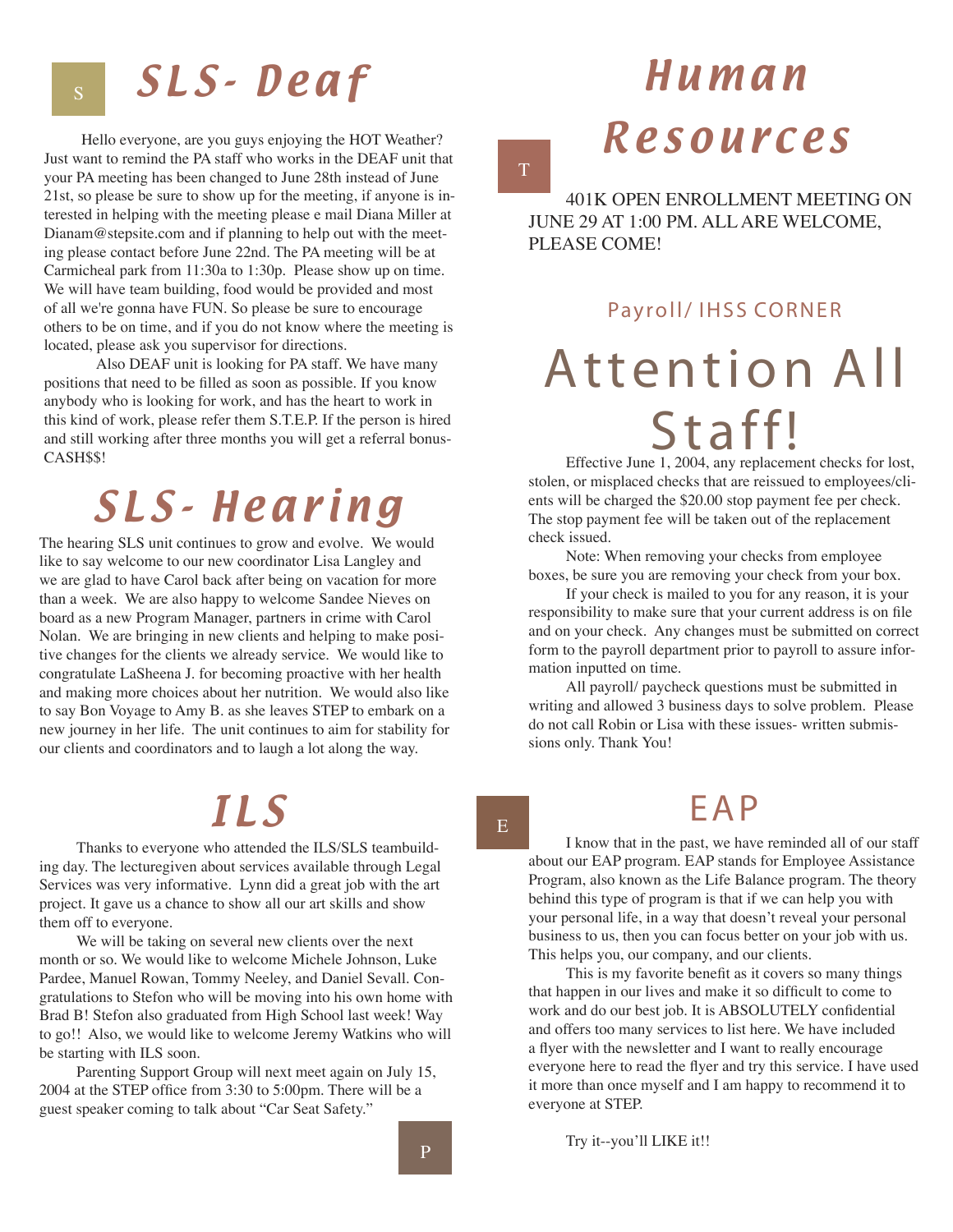## SLS-Deaf

Hello everyone, are you guys enjoying the HOT Weather? Just want to remind the PA staff who works in the DEAF unit that your PA meeting has been changed to June 28th instead of June 21st, so please be sure to show up for the meeting, if anyone is interested in helping with the meeting please e mail Diana Miller at Dianam@stepsite.com and if planning to help out with the meeting please contact before June 22nd. The PA meeting will be at Carmicheal park from 11:30a to 1:30p. Please show up on time. We will have team building, food would be provided and most of all we're gonna have FUN. So please be sure to encourage others to be on time, and if you do not know where the meeting is located, please ask you supervisor for directions.

 Also DEAF unit is looking for PA staff. We have many positions that need to be filled as soon as possible. If you know anybody who is looking for work, and has the heart to work in this kind of work, please refer them S.T.E.P. If the person is hired and still working after three months you will get a referral bonus-CASH\$\$!

## SLS-Hearing

The hearing SLS unit continues to grow and evolve. We would like to say welcome to our new coordinator Lisa Langley and we are glad to have Carol back after being on vacation for more than a week. We are also happy to welcome Sandee Nieves on board as a new Program Manager, partners in crime with Carol Nolan. We are bringing in new clients and helping to make positive changes for the clients we already service. We would like to congratulate LaSheena J. for becoming proactive with her health and making more choices about her nutrition. We would also like to say Bon Voyage to Amy B. as she leaves STEP to embark on a new journey in her life. The unit continues to aim for stability for our clients and coordinators and to laugh a lot along the way.

## I L S

Thanks to everyone who attended the ILS/SLS teambuilding day. The lecturegiven about services available through Legal Services was very informative. Lynn did a great job with the art project. It gave us a chance to show all our art skills and show them off to everyone.

We will be taking on several new clients over the next month or so. We would like to welcome Michele Johnson, Luke Pardee, Manuel Rowan, Tommy Neeley, and Daniel Sevall. Congratulations to Stefon who will be moving into his own home with Brad B! Stefon also graduated from High School last week! Way to go!! Also, we would like to welcome Jeremy Watkins who will be starting with ILS soon.

Parenting Support Group will next meet again on July 15, 2004 at the STEP office from 3:30 to 5:00pm. There will be a guest speaker coming to talk about "Car Seat Safety."

# Human Resources

401K OPEN ENROLLMENT MEETING ON JUNE 29 AT 1:00 PM. ALL ARE WELCOME, PLEASE COME!

T

#### Payroll/ IHSS CORNER

# Attention All Staff!

Effective June 1, 2004, any replacement checks for lost, stolen, or misplaced checks that are reissued to employees/clients will be charged the \$20.00 stop payment fee per check. The stop payment fee will be taken out of the replacement check issued.

Note: When removing your checks from employee boxes, be sure you are removing your check from your box.

If your check is mailed to you for any reason, it is your responsibility to make sure that your current address is on file and on your check. Any changes must be submitted on correct form to the payroll department prior to payroll to assure information inputted on time.

All payroll/ paycheck questions must be submitted in writing and allowed 3 business days to solve problem. Please do not call Robin or Lisa with these issues- written submissions only. Thank You!

E A P

I know that in the past, we have reminded all of our staff about our EAP program. EAP stands for Employee Assistance Program, also known as the Life Balance program. The theory behind this type of program is that if we can help you with your personal life, in a way that doesn't reveal your personal business to us, then you can focus better on your job with us. This helps you, our company, and our clients.

This is my favorite benefit as it covers so many things that happen in our lives and make it so difficult to come to work and do our best job. It is ABSOLUTELY confidential and offers too many services to list here. We have included a flyer with the newsletter and I want to really encourage everyone here to read the flyer and try this service. I have used it more than once myself and I am happy to recommend it to everyone at STEP.

E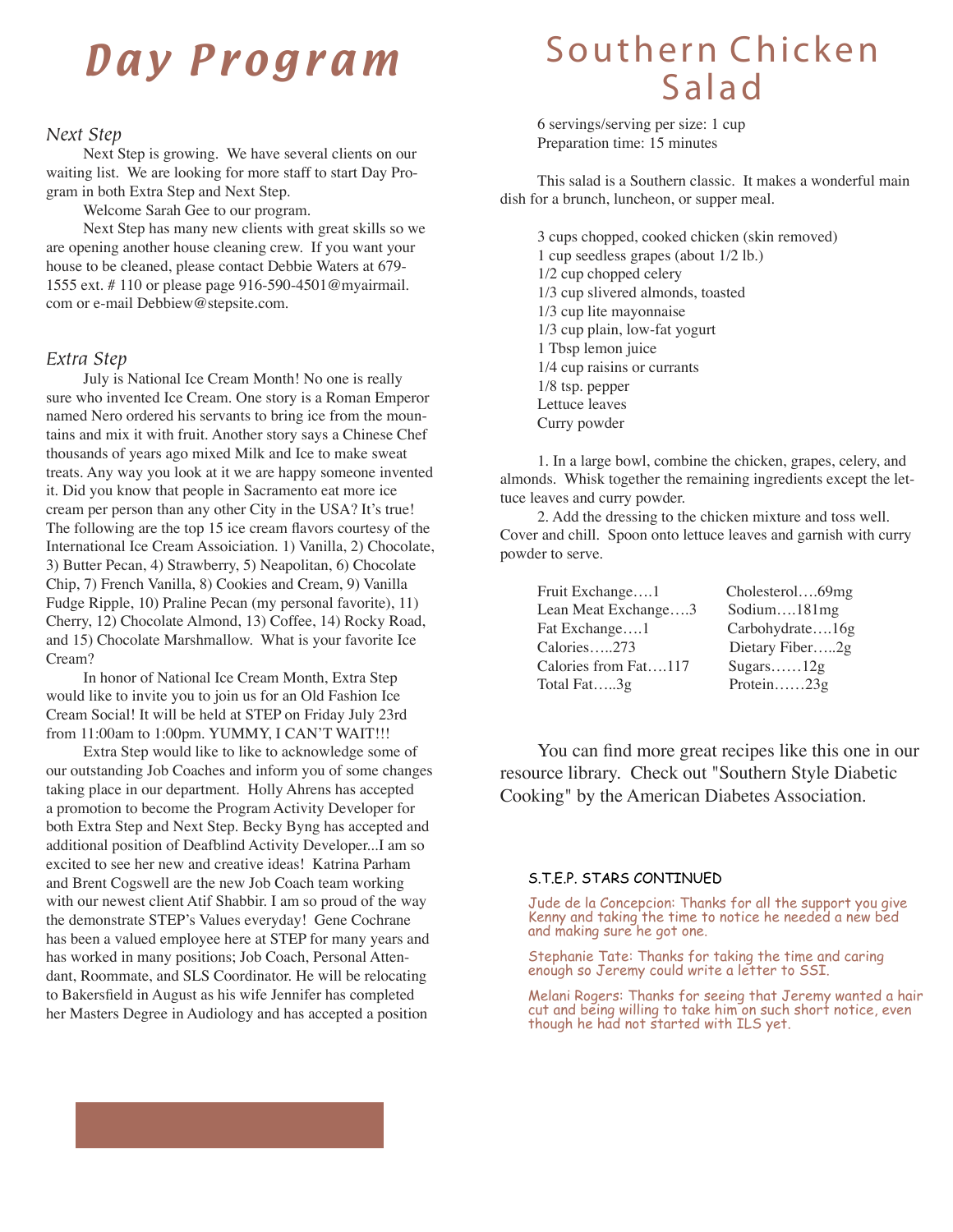## Day Program

#### *Next Step*

Next Step is growing. We have several clients on our waiting list. We are looking for more staff to start Day Program in both Extra Step and Next Step.

Welcome Sarah Gee to our program.

Next Step has many new clients with great skills so we are opening another house cleaning crew. If you want your house to be cleaned, please contact Debbie Waters at 679- 1555 ext. # 110 or please page 916-590-4501@myairmail. com or e-mail Debbiew@stepsite.com.

#### *Extra Step*

July is National Ice Cream Month! No one is really sure who invented Ice Cream. One story is a Roman Emperor named Nero ordered his servants to bring ice from the mountains and mix it with fruit. Another story says a Chinese Chef thousands of years ago mixed Milk and Ice to make sweat treats. Any way you look at it we are happy someone invented it. Did you know that people in Sacramento eat more ice cream per person than any other City in the USA? It's true! The following are the top 15 ice cream flavors courtesy of the International Ice Cream Assoiciation. 1) Vanilla, 2) Chocolate, 3) Butter Pecan, 4) Strawberry, 5) Neapolitan, 6) Chocolate Chip, 7) French Vanilla, 8) Cookies and Cream, 9) Vanilla Fudge Ripple, 10) Praline Pecan (my personal favorite), 11) Cherry, 12) Chocolate Almond, 13) Coffee, 14) Rocky Road, and 15) Chocolate Marshmallow. What is your favorite Ice Cream?

In honor of National Ice Cream Month, Extra Step would like to invite you to join us for an Old Fashion Ice Cream Social! It will be held at STEP on Friday July 23rd from 11:00am to 1:00pm. YUMMY, I CAN'T WAIT!!!

Extra Step would like to like to acknowledge some of our outstanding Job Coaches and inform you of some changes taking place in our department. Holly Ahrens has accepted a promotion to become the Program Activity Developer for both Extra Step and Next Step. Becky Byng has accepted and additional position of Deafblind Activity Developer...I am so excited to see her new and creative ideas! Katrina Parham and Brent Cogswell are the new Job Coach team working with our newest client Atif Shabbir. I am so proud of the way the demonstrate STEP's Values everyday! Gene Cochrane has been a valued employee here at STEP for many years and has worked in many positions; Job Coach, Personal Attendant, Roommate, and SLS Coordinator. He will be relocating to Bakersfield in August as his wife Jennifer has completed her Masters Degree in Audiology and has accepted a position

### Southern Chicken **Salad**

6 servings/serving per size: 1 cup Preparation time: 15 minutes

This salad is a Southern classic. It makes a wonderful main dish for a brunch, luncheon, or supper meal.

3 cups chopped, cooked chicken (skin removed) 1 cup seedless grapes (about 1/2 lb.) 1/2 cup chopped celery 1/3 cup slivered almonds, toasted 1/3 cup lite mayonnaise 1/3 cup plain, low-fat yogurt 1 Tbsp lemon juice 1/4 cup raisins or currants 1/8 tsp. pepper Lettuce leaves Curry powder

1. In a large bowl, combine the chicken, grapes, celery, and almonds. Whisk together the remaining ingredients except the lettuce leaves and curry powder.

2. Add the dressing to the chicken mixture and toss well. Cover and chill. Spoon onto lettuce leaves and garnish with curry powder to serve.

| Fruit Exchange1      | Cholesterol69mg |
|----------------------|-----------------|
| Lean Meat Exchange3  | Sodium $181mg$  |
| Fat Exchange1        | Carbohydrate16g |
| Calories273          | Dietary Fiber2g |
| Calories from Fat117 | Sugars $12g$    |
| Total Fat3g          | Protein $23g$   |

You can find more great recipes like this one in our resource library. Check out "Southern Style Diabetic Cooking" by the American Diabetes Association.

#### S.T.E.P. STARS CONTINUED

Jude de la Concepcion: Thanks for all the support you give Kenny and taking the time to notice he needed a new bed and making sure he got one.

Stephanie Tate: Thanks for taking the time and caring enough so Jeremy could write a letter to SSI.

Melani Rogers: Thanks for seeing that Jeremy wanted a hair cut and being willing to take him on such short notice, even though he had not started with ILS yet.